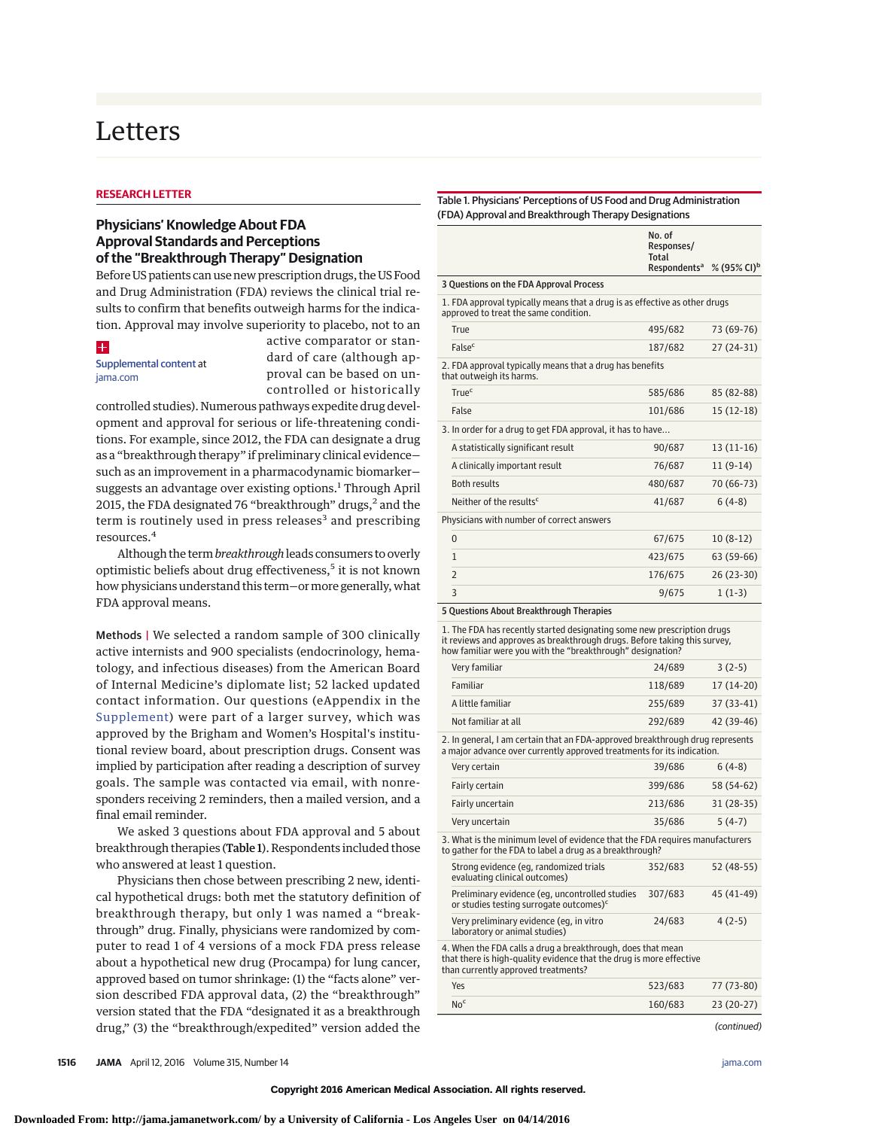# Letters

#### **RESEARCH LETTER**

### **Physicians' Knowledge About FDA Approval Standards and Perceptions of the "Breakthrough Therapy" Designation**

Before US patients can use new prescription drugs, the US Food and Drug Administration (FDA) reviews the clinical trial results to confirm that benefits outweigh harms for the indication. Approval may involve superiority to placebo, not to an

# $+$

#### [Supplemental content](http://jama.jamanetwork.com/article.aspx?doi=10.1001/jama.2015.16984&utm_campaign=articlePDF%26utm_medium=articlePDFlink%26utm_source=articlePDF%26utm_content=jama.2015.16984) at [jama.com](http://www.jama.com/?utm_campaign=articlePDF%26utm_medium=articlePDFlink%26utm_source=articlePDF%26utm_content=jama.2015.16984)

active comparator or standard of care (although approval can be based on uncontrolled or historically

controlled studies). Numerous pathways expedite drug development and approval for serious or life-threatening conditions. For example, since 2012, the FDA can designate a drug as a "breakthrough therapy" if preliminary clinical evidence such as an improvement in a pharmacodynamic biomarker suggests an advantage over existing options.<sup>1</sup> Through April 2015, the FDA designated 76 "breakthrough" drugs, $<sup>2</sup>$  and the</sup> term is routinely used in press releases<sup>3</sup> and prescribing resources.<sup>4</sup>

Although the term*breakthrough*leads consumers to overly optimistic beliefs about drug effectiveness,<sup>5</sup> it is not known how physicians understand this term-or more generally, what FDA approval means.

Methods | We selected a random sample of 300 clinically active internists and 900 specialists (endocrinology, hematology, and infectious diseases) from the American Board of Internal Medicine's diplomate list; 52 lacked updated contact information. Our questions (eAppendix in the [Supplement\)](http://jama.jamanetwork.com/article.aspx?doi=10.1001/jama.2015.16984&utm_campaign=articlePDF%26utm_medium=articlePDFlink%26utm_source=articlePDF%26utm_content=jama.2015.16984) were part of a larger survey, which was approved by the Brigham and Women's Hospital's institutional review board, about prescription drugs. Consent was implied by participation after reading a description of survey goals. The sample was contacted via email, with nonresponders receiving 2 reminders, then a mailed version, and a final email reminder.

We asked 3 questions about FDA approval and 5 about breakthrough therapies (Table 1). Respondents included those who answered at least 1 question.

Physicians then chose between prescribing 2 new, identical hypothetical drugs: both met the statutory definition of breakthrough therapy, but only 1 was named a "breakthrough" drug. Finally, physicians were randomized by computer to read 1 of 4 versions of a mock FDA press release about a hypothetical new drug (Procampa) for lung cancer, approved based on tumor shrinkage: (1) the "facts alone" version described FDA approval data, (2) the "breakthrough" version stated that the FDA "designated it as a breakthrough drug," (3) the "breakthrough/expedited" version added the

#### Table 1. Physicians' Perceptions of US Food and Drug Administration (FDA) Approval and Breakthrough Therapy Designations

|                                                                                                                                                                                                                    | No. of<br>Responses/<br>Total<br>Respondents <sup>a</sup> | % (95% CI) <sup>b</sup> |  |  |  |
|--------------------------------------------------------------------------------------------------------------------------------------------------------------------------------------------------------------------|-----------------------------------------------------------|-------------------------|--|--|--|
| 3 Questions on the FDA Approval Process                                                                                                                                                                            |                                                           |                         |  |  |  |
| 1. FDA approval typically means that a drug is as effective as other drugs<br>approved to treat the same condition.                                                                                                |                                                           |                         |  |  |  |
| True                                                                                                                                                                                                               | 495/682                                                   | 73 (69-76)              |  |  |  |
| False <sup>c</sup>                                                                                                                                                                                                 | 187/682                                                   | 27 (24-31)              |  |  |  |
| 2. FDA approval typically means that a drug has benefits<br>that outweigh its harms.                                                                                                                               |                                                           |                         |  |  |  |
| <b>True</b> c                                                                                                                                                                                                      | 585/686                                                   | 85 (82-88)              |  |  |  |
| False                                                                                                                                                                                                              | 101/686                                                   | $15(12-18)$             |  |  |  |
| 3. In order for a drug to get FDA approval, it has to have                                                                                                                                                         |                                                           |                         |  |  |  |
| A statistically significant result                                                                                                                                                                                 | 90/687                                                    | 13 (11-16)              |  |  |  |
| A clinically important result                                                                                                                                                                                      | 76/687                                                    | $11(9-14)$              |  |  |  |
| <b>Both results</b>                                                                                                                                                                                                | 480/687                                                   | 70 (66-73)              |  |  |  |
| Neither of the results <sup>c</sup>                                                                                                                                                                                | 41/687                                                    | $6(4-8)$                |  |  |  |
| Physicians with number of correct answers                                                                                                                                                                          |                                                           |                         |  |  |  |
| 0                                                                                                                                                                                                                  | 67/675                                                    | $10(8-12)$              |  |  |  |
| 1                                                                                                                                                                                                                  | 423/675                                                   | 63 (59-66)              |  |  |  |
| 2                                                                                                                                                                                                                  | 176/675                                                   | 26 (23-30)              |  |  |  |
| 3                                                                                                                                                                                                                  | 9/675                                                     | $1(1-3)$                |  |  |  |
| 5 Questions About Breakthrough Therapies                                                                                                                                                                           |                                                           |                         |  |  |  |
| 1. The FDA has recently started designating some new prescription drugs<br>it reviews and approves as breakthrough drugs. Before taking this survey,<br>how familiar were you with the "breakthrough" designation? |                                                           |                         |  |  |  |
| Very familiar                                                                                                                                                                                                      | 24/689                                                    | $3(2-5)$                |  |  |  |
| Familiar                                                                                                                                                                                                           | 118/689                                                   | 17 (14-20)              |  |  |  |
| A little familiar                                                                                                                                                                                                  | 255/689                                                   | 37 (33-41)              |  |  |  |
| Not familiar at all                                                                                                                                                                                                | 292/689                                                   | 42 (39-46)              |  |  |  |
| 2. In general, I am certain that an FDA-approved breakthrough drug represents<br>a major advance over currently approved treatments for its indication.                                                            |                                                           |                         |  |  |  |
| Very certain                                                                                                                                                                                                       | 39/686                                                    | $6(4-8)$                |  |  |  |
| Fairly certain                                                                                                                                                                                                     | 399/686                                                   | 58 (54-62)              |  |  |  |
| Fairly uncertain                                                                                                                                                                                                   | 213/686                                                   | 31 (28-35)              |  |  |  |
| Very uncertain                                                                                                                                                                                                     | 35/686                                                    | $5(4-7)$                |  |  |  |
| 3. What is the minimum level of evidence that the FDA requires manufacturers<br>to gather for the FDA to label a drug as a breakthrough?                                                                           |                                                           |                         |  |  |  |
| Strong evidence (eg, randomized trials<br>evaluating clinical outcomes)                                                                                                                                            | 352/683                                                   | 52 (48-55)              |  |  |  |
| Preliminary evidence (eg, uncontrolled studies<br>or studies testing surrogate outcomes) <sup>c</sup>                                                                                                              | 307/683                                                   | 45 (41-49)              |  |  |  |
| Very preliminary evidence (eg, in vitro<br>laboratory or animal studies)                                                                                                                                           | 24/683                                                    | $4(2-5)$                |  |  |  |
| 4. When the FDA calls a drug a breakthrough, does that mean<br>that there is high-quality evidence that the drug is more effective<br>than currently approved treatments?                                          |                                                           |                         |  |  |  |
| Yes                                                                                                                                                                                                                | 523/683                                                   | 77 (73-80)              |  |  |  |
| No <sup>c</sup>                                                                                                                                                                                                    | 160/683                                                   | 23 (20-27)              |  |  |  |
|                                                                                                                                                                                                                    |                                                           | (continued)             |  |  |  |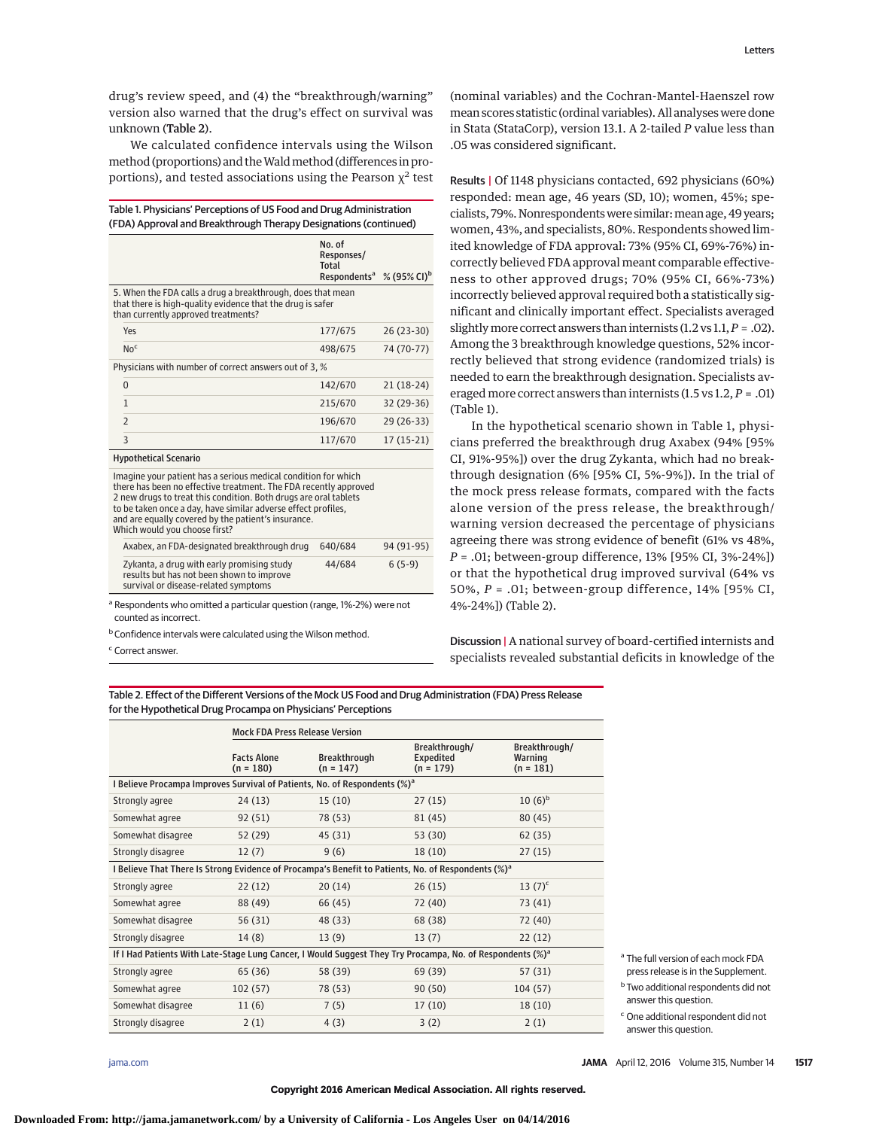drug's review speed, and (4) the "breakthrough/warning" version also warned that the drug's effect on survival was unknown (Table 2).

We calculated confidence intervals using the Wilson method (proportions) and the Wald method (differences in proportions), and tested associations using the Pearson  $\chi^2$  test

| Table 1. Physicians' Perceptions of US Food and Drug Administration<br>(FDA) Approval and Breakthrough Therapy Designations (continued)                                                                                                                                                                                                                         |                                                                  |                         |  |  |
|-----------------------------------------------------------------------------------------------------------------------------------------------------------------------------------------------------------------------------------------------------------------------------------------------------------------------------------------------------------------|------------------------------------------------------------------|-------------------------|--|--|
|                                                                                                                                                                                                                                                                                                                                                                 | No. of<br>Responses/<br><b>Total</b><br>Respondents <sup>a</sup> | % (95% CI) <sup>b</sup> |  |  |
| 5. When the FDA calls a drug a breakthrough, does that mean<br>that there is high-quality evidence that the drug is safer<br>than currently approved treatments?                                                                                                                                                                                                |                                                                  |                         |  |  |
| Yes                                                                                                                                                                                                                                                                                                                                                             | 177/675                                                          | $26(23-30)$             |  |  |
| No <sup>c</sup>                                                                                                                                                                                                                                                                                                                                                 | 498/675                                                          | 74 (70-77)              |  |  |
| Physicians with number of correct answers out of 3, %                                                                                                                                                                                                                                                                                                           |                                                                  |                         |  |  |
| $\Omega$                                                                                                                                                                                                                                                                                                                                                        | 142/670                                                          | $21(18-24)$             |  |  |
| $\mathbf{1}$                                                                                                                                                                                                                                                                                                                                                    | 215/670                                                          | 32 (29-36)              |  |  |
| $\overline{2}$                                                                                                                                                                                                                                                                                                                                                  | 196/670                                                          | $29(26-33)$             |  |  |
| 3                                                                                                                                                                                                                                                                                                                                                               | 117/670                                                          | $17(15-21)$             |  |  |
| <b>Hypothetical Scenario</b>                                                                                                                                                                                                                                                                                                                                    |                                                                  |                         |  |  |
| Imagine your patient has a serious medical condition for which<br>there has been no effective treatment. The FDA recently approved<br>2 new drugs to treat this condition. Both drugs are oral tablets<br>to be taken once a day, have similar adverse effect profiles,<br>and are equally covered by the patient's insurance.<br>Which would you choose first? |                                                                  |                         |  |  |
| Axabex, an FDA-designated breakthrough drug                                                                                                                                                                                                                                                                                                                     | 640/684                                                          | 94 (91-95)              |  |  |
| Zykanta, a drug with early promising study<br>results but has not been shown to improve                                                                                                                                                                                                                                                                         | 44/684                                                           | $6(5-9)$                |  |  |

survival or disease-related symptoms <sup>a</sup> Respondents who omitted a particular question (range, 1%-2%) were not

counted as incorrect.

**b** Confidence intervals were calculated using the Wilson method.

<sup>c</sup> Correct answer.

(nominal variables) and the Cochran-Mantel-Haenszel row mean scores statistic (ordinal variables). All analyses were done in Stata (StataCorp), version 13.1. A 2-tailed *P* value less than .05 was considered significant.

Results | Of 1148 physicians contacted, 692 physicians (60%) responded: mean age, 46 years (SD, 10); women, 45%; specialists, 79%. Nonrespondentswere similar:mean age, 49 years; women, 43%, and specialists, 80%. Respondents showed limited knowledge of FDA approval: 73% (95% CI, 69%-76%) incorrectly believed FDA approval meant comparable effectiveness to other approved drugs; 70% (95% CI, 66%-73%) incorrectly believed approval required both a statistically significant and clinically important effect. Specialists averaged slightlymore correct answers than internists (1.2 vs 1.1,*P* = .02). Among the 3 breakthrough knowledge questions, 52% incorrectly believed that strong evidence (randomized trials) is needed to earn the breakthrough designation. Specialists averaged more correct answers than internists (1.5 vs 1.2, *P* = .01) (Table 1).

In the hypothetical scenario shown in Table 1, physicians preferred the breakthrough drug Axabex (94% [95% CI, 91%-95%]) over the drug Zykanta, which had no breakthrough designation (6% [95% CI, 5%-9%]). In the trial of the mock press release formats, compared with the facts alone version of the press release, the breakthrough/ warning version decreased the percentage of physicians agreeing there was strong evidence of benefit (61% vs 48%, *P* = .01; between-group difference, 13% [95% CI, 3%-24%]) or that the hypothetical drug improved survival (64% vs 50%, *P* = .01; between-group difference, 14% [95% CI, 4%-24%]) (Table 2).

Discussion | A national survey of board-certified internists and specialists revealed substantial deficits in knowledge of the

Table 2. Effect of the Different Versions of the Mock US Food and Drug Administration (FDA) Press Release for the Hypothetical Drug Procampa on Physicians' Perceptions

|                                                                                                                       | <b>Mock FDA Press Release Version</b> |                                    |                                           |                                         |  |  |
|-----------------------------------------------------------------------------------------------------------------------|---------------------------------------|------------------------------------|-------------------------------------------|-----------------------------------------|--|--|
|                                                                                                                       | <b>Facts Alone</b><br>$(n = 180)$     | <b>Breakthrough</b><br>$(n = 147)$ | Breakthrough/<br>Expedited<br>$(n = 179)$ | Breakthrough/<br>Warning<br>$(n = 181)$ |  |  |
| I Believe Procampa Improves Survival of Patients, No. of Respondents (%) <sup>a</sup>                                 |                                       |                                    |                                           |                                         |  |  |
| Strongly agree                                                                                                        | 24(13)                                | 15(10)                             | 27(15)                                    | $10(6)^{b}$                             |  |  |
| Somewhat agree                                                                                                        | 92(51)                                | 78 (53)                            | 81 (45)                                   | 80(45)                                  |  |  |
| Somewhat disagree                                                                                                     | 52 (29)                               | 45(31)                             | 53 (30)                                   | 62(35)                                  |  |  |
| Strongly disagree                                                                                                     | 12(7)                                 | 9(6)                               | 18(10)                                    | 27(15)                                  |  |  |
| I Believe That There Is Strong Evidence of Procampa's Benefit to Patients, No. of Respondents $(\%)^a$                |                                       |                                    |                                           |                                         |  |  |
| Strongly agree                                                                                                        | 22(12)                                | 20(14)                             | 26(15)                                    | $13(7)^c$                               |  |  |
| Somewhat agree                                                                                                        | 88 (49)                               | 66 (45)                            | 72 (40)                                   | 73 (41)                                 |  |  |
| Somewhat disagree                                                                                                     | 56 (31)                               | 48 (33)                            | 68 (38)                                   | 72 (40)                                 |  |  |
| Strongly disagree                                                                                                     | 14 (8)                                | 13(9)                              | 13(7)                                     | 22(12)                                  |  |  |
| If I Had Patients With Late-Stage Lung Cancer, I Would Suggest They Try Procampa, No. of Respondents (%) <sup>a</sup> |                                       |                                    |                                           |                                         |  |  |
| Strongly agree                                                                                                        | 65 (36)                               | 58 (39)                            | 69 (39)                                   | 57 (31)                                 |  |  |
| Somewhat agree                                                                                                        | 102(57)                               | 78 (53)                            | 90 (50)                                   | 104 (57)                                |  |  |
| Somewhat disagree                                                                                                     | 11(6)                                 | 7(5)                               | 17(10)                                    | 18(10)                                  |  |  |
| Strongly disagree                                                                                                     | 2(1)                                  | 4(3)                               | 3(2)                                      | 2(1)                                    |  |  |

**Copyright 2016 American Medical Association. All rights reserved.**

<sup>a</sup> The full version of each mock FDA press release is in the Supplement.

<sup>b</sup> Two additional respondents did not

answer this question. <sup>c</sup> One additional respondent did not

answer this question.